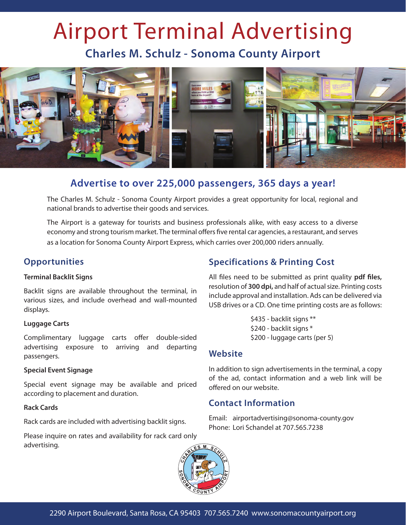# Airport Terminal Advertising

**Charles M. Schulz - Sonoma County Airport**



# **Advertise to over 225,000 passengers, 365 days a year!**

The Charles M. Schulz - Sonoma County Airport provides a great opportunity for local, regional and national brands to advertise their goods and services.

The Airport is a gateway for tourists and business professionals alike, with easy access to a diverse economy and strong tourism market. The terminal offers five rental car agencies, a restaurant, and serves as a location for Sonoma County Airport Express, which carries over 200,000 riders annually.

## **Opportunities**

#### **Terminal Backlit Signs**

Backlit signs are available throughout the terminal, in various sizes, and include overhead and wall-mounted displays.

#### **Luggage Carts**

Complimentary luggage carts offer double-sided advertising exposure to arriving and departing passengers.

#### **Special Event Signage**

Special event signage may be available and priced according to placement and duration.

#### **Rack Cards**

Rack cards are included with advertising backlit signs.

Please inquire on rates and availability for rack card only advertising.

# **Specifications & Printing Cost**

All files need to be submitted as print quality **pdf files,** resolution of **300 dpi,** and half of actual size. Printing costs include approval and installation. Ads can be delivered via USB drives or a CD. One time printing costs are as follows:

> \$435 - backlit signs \*\* \$240 - backlit signs \* \$200 - luggage carts (per 5)

## **Website**

In addition to sign advertisements in the terminal, a copy of the ad, contact information and a web link will be offered on our website.

## **Contact Information**

Email: airportadvertising@sonoma-county.gov Phone: Lori Schandel at 707.565.7238